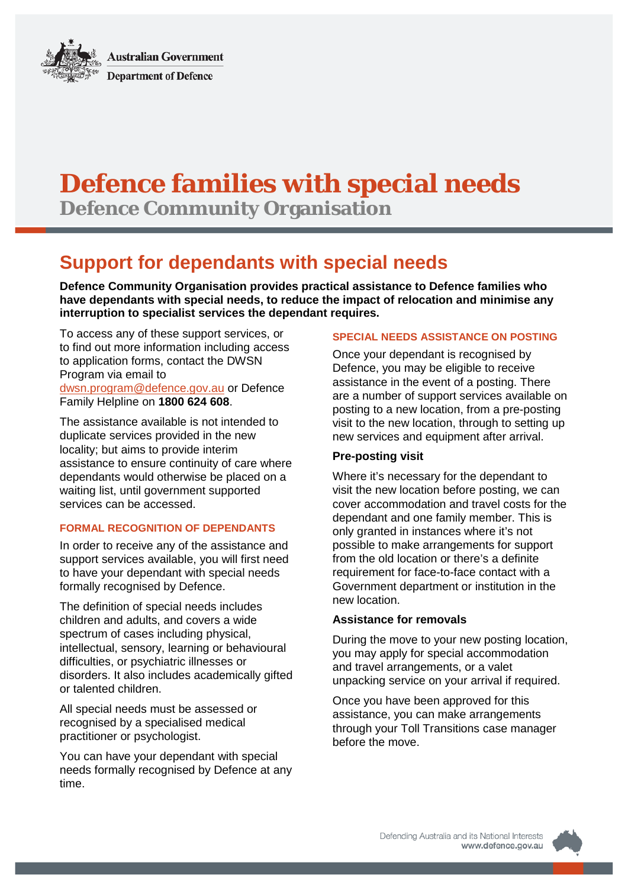**Australian Government Department of Defence** 

# **Defence families with special needs**

**Defence Community Organisation**

# **Support for dependants with special needs**

**Defence Community Organisation provides practical assistance to Defence families who have dependants with special needs, to reduce the impact of relocation and minimise any interruption to specialist services the dependant requires.**

To access any of these support services, or to find out more information including access to application forms, contact the DWSN Program via email to [dwsn.program@defence.gov.au](mailto:dwsn.program@defence.gov.au) or Defence Family Helpline on **1800 624 608**.

The assistance available is not intended to duplicate services provided in the new locality; but aims to provide interim assistance to ensure continuity of care where dependants would otherwise be placed on a waiting list, until government supported services can be accessed.

# **FORMAL RECOGNITION OF DEPENDANTS**

In order to receive any of the assistance and support services available, you will first need to have your dependant with special needs formally recognised by Defence.

The definition of special needs includes children and adults, and covers a wide spectrum of cases including physical, intellectual, sensory, learning or behavioural difficulties, or psychiatric illnesses or disorders. It also includes academically gifted or talented children.

All special needs must be assessed or recognised by a specialised medical practitioner or psychologist.

You can have your dependant with special needs formally recognised by Defence at any time.

## **SPECIAL NEEDS ASSISTANCE ON POSTING**

Once your dependant is recognised by Defence, you may be eligible to receive assistance in the event of a posting. There are a number of support services available on posting to a new location, from a pre-posting visit to the new location, through to setting up new services and equipment after arrival.

# **Pre-posting visit**

Where it's necessary for the dependant to visit the new location before posting, we can cover accommodation and travel costs for the dependant and one family member. This is only granted in instances where it's not possible to make arrangements for support from the old location or there's a definite requirement for face-to-face contact with a Government department or institution in the new location.

# **Assistance for removals**

During the move to your new posting location, you may apply for special accommodation and travel arrangements, or a valet unpacking service on your arrival if required.

Once you have been approved for this assistance, you can make arrangements through your Toll Transitions case manager before the move.